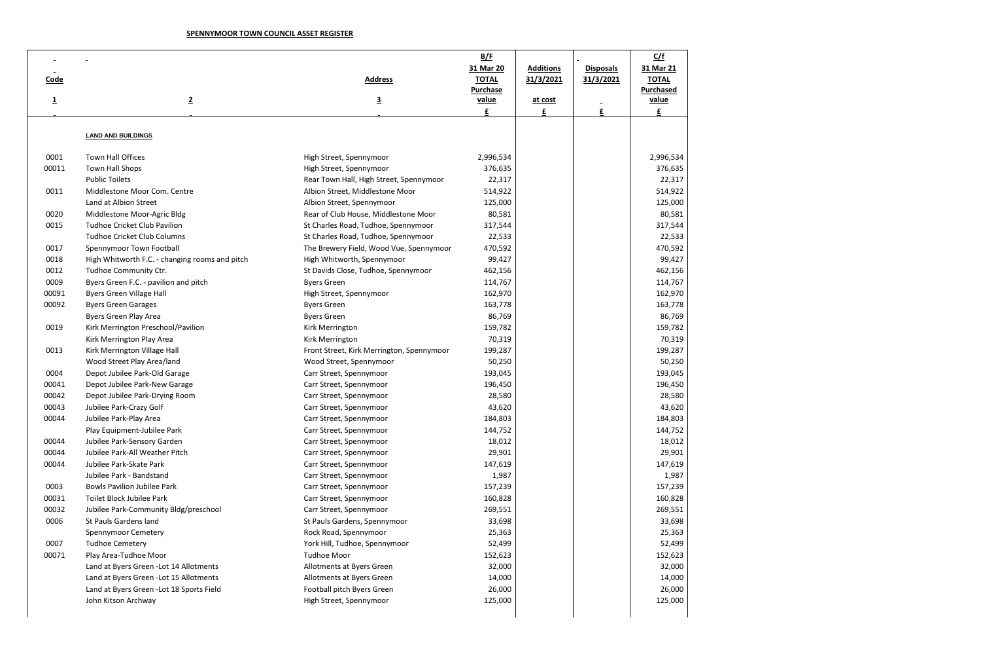## **SPENNYMOOR TOWN COUNCIL ASSET REGISTER**

|                |                                                |                                           | B/F             |                  |                  | C/f              |
|----------------|------------------------------------------------|-------------------------------------------|-----------------|------------------|------------------|------------------|
|                |                                                |                                           | 31 Mar 20       | <b>Additions</b> | <b>Disposals</b> | 31 Mar 21        |
| <b>Code</b>    |                                                | <b>Address</b>                            | <b>TOTAL</b>    | 31/3/2021        | 31/3/2021        | <b>TOTAL</b>     |
|                |                                                |                                           | <b>Purchase</b> |                  |                  | <b>Purchased</b> |
| $\overline{1}$ | $\overline{2}$                                 | $\overline{\mathbf{3}}$                   | value           | at cost          |                  | value            |
|                |                                                |                                           | £               | $\mathbf{f}$     | £                | $\mathbf{f}$     |
|                |                                                |                                           |                 |                  |                  |                  |
|                | <b>LAND AND BUILDINGS</b>                      |                                           |                 |                  |                  |                  |
| 0001           | Town Hall Offices                              | High Street, Spennymoor                   | 2,996,534       |                  |                  | 2,996,534        |
| 00011          | Town Hall Shops                                | High Street, Spennymoor                   | 376,635         |                  |                  | 376,635          |
|                | <b>Public Toilets</b>                          | Rear Town Hall, High Street, Spennymoor   | 22,317          |                  |                  | 22,317           |
| 0011           | Middlestone Moor Com. Centre                   | Albion Street, Middlestone Moor           | 514,922         |                  |                  | 514,922          |
|                | Land at Albion Street                          | Albion Street, Spennymoor                 | 125,000         |                  |                  | 125,000          |
| 0020           | Middlestone Moor-Agric Bldg                    | Rear of Club House, Middlestone Moor      | 80,581          |                  |                  | 80,581           |
| 0015           | <b>Tudhoe Cricket Club Pavilion</b>            | St Charles Road, Tudhoe, Spennymoor       | 317,544         |                  |                  | 317,544          |
|                | <b>Tudhoe Cricket Club Columns</b>             | St Charles Road, Tudhoe, Spennymoor       | 22,533          |                  |                  | 22,533           |
| 0017           | Spennymoor Town Football                       | The Brewery Field, Wood Vue, Spennymoor   | 470,592         |                  |                  | 470,592          |
| 0018           | High Whitworth F.C. - changing rooms and pitch | High Whitworth, Spennymoor                | 99,427          |                  |                  | 99,427           |
| 0012           | Tudhoe Community Ctr.                          | St Davids Close, Tudhoe, Spennymoor       | 462,156         |                  |                  | 462,156          |
| 0009           | Byers Green F.C. - pavilion and pitch          | <b>Byers Green</b>                        | 114,767         |                  |                  | 114,767          |
| 00091          | <b>Byers Green Village Hall</b>                | High Street, Spennymoor                   | 162,970         |                  |                  | 162,970          |
| 00092          | <b>Byers Green Garages</b>                     | <b>Byers Green</b>                        | 163,778         |                  |                  | 163,778          |
|                | Byers Green Play Area                          | <b>Byers Green</b>                        | 86,769          |                  |                  | 86,769           |
| 0019           | Kirk Merrington Preschool/Pavilion             | Kirk Merrington                           | 159,782         |                  |                  | 159,782          |
|                | Kirk Merrington Play Area                      | Kirk Merrington                           | 70,319          |                  |                  | 70,319           |
| 0013           | Kirk Merrington Village Hall                   | Front Street, Kirk Merrington, Spennymoor | 199,287         |                  |                  | 199,287          |
|                | Wood Street Play Area/land                     | Wood Street, Spennymoor                   | 50,250          |                  |                  | 50,250           |
| 0004           | Depot Jubilee Park-Old Garage                  | Carr Street, Spennymoor                   | 193,045         |                  |                  | 193,045          |
| 00041          | Depot Jubilee Park-New Garage                  | Carr Street, Spennymoor                   | 196,450         |                  |                  | 196,450          |
| 00042          | Depot Jubilee Park-Drying Room                 | Carr Street, Spennymoor                   | 28,580          |                  |                  | 28,580           |
| 00043          | Jubilee Park-Crazy Golf                        | Carr Street, Spennymoor                   | 43,620          |                  |                  | 43,620           |
| 00044          | Jubilee Park-Play Area                         | Carr Street, Spennymoor                   | 184,803         |                  |                  | 184,803          |
|                | Play Equipment-Jubilee Park                    | Carr Street, Spennymoor                   | 144,752         |                  |                  | 144,752          |
| 00044          | Jubilee Park-Sensory Garden                    | Carr Street, Spennymoor                   | 18,012          |                  |                  | 18,012           |
| 00044          | Jubilee Park-All Weather Pitch                 | Carr Street, Spennymoor                   | 29,901          |                  |                  | 29,901           |
| 00044          | Jubilee Park-Skate Park                        | Carr Street, Spennymoor                   | 147,619         |                  |                  | 147,619          |
|                | Jubilee Park - Bandstand                       | Carr Street, Spennymoor                   | 1,987           |                  |                  | 1,987            |
| 0003           | <b>Bowls Pavilion Jubilee Park</b>             | Carr Street, Spennymoor                   | 157,239         |                  |                  | 157,239          |
| 00031          | Toilet Block Jubilee Park                      | Carr Street, Spennymoor                   | 160,828         |                  |                  | 160,828          |
| 00032          | Jubilee Park-Community Bldg/preschool          | Carr Street, Spennymoor                   | 269,551         |                  |                  | 269,551          |
| 0006           | St Pauls Gardens land                          | St Pauls Gardens, Spennymoor              | 33,698          |                  |                  | 33,698           |
|                | Spennymoor Cemetery                            | Rock Road, Spennymoor                     | 25,363          |                  |                  | 25,363           |
| 0007           | <b>Tudhoe Cemetery</b>                         | York Hill, Tudhoe, Spennymoor             | 52,499          |                  |                  | 52,499           |
| 00071          | Play Area-Tudhoe Moor                          | <b>Tudhoe Moor</b>                        | 152,623         |                  |                  | 152,623          |
|                | Land at Byers Green - Lot 14 Allotments        | Allotments at Byers Green                 | 32,000          |                  |                  | 32,000           |
|                | Land at Byers Green - Lot 15 Allotments        | Allotments at Byers Green                 | 14,000          |                  |                  | 14,000           |
|                | Land at Byers Green - Lot 18 Sports Field      | Football pitch Byers Green                | 26,000          |                  |                  | 26,000           |
|                | John Kitson Archway                            | High Street, Spennymoor                   | 125,000         |                  |                  | 125,000          |
|                |                                                |                                           |                 |                  |                  |                  |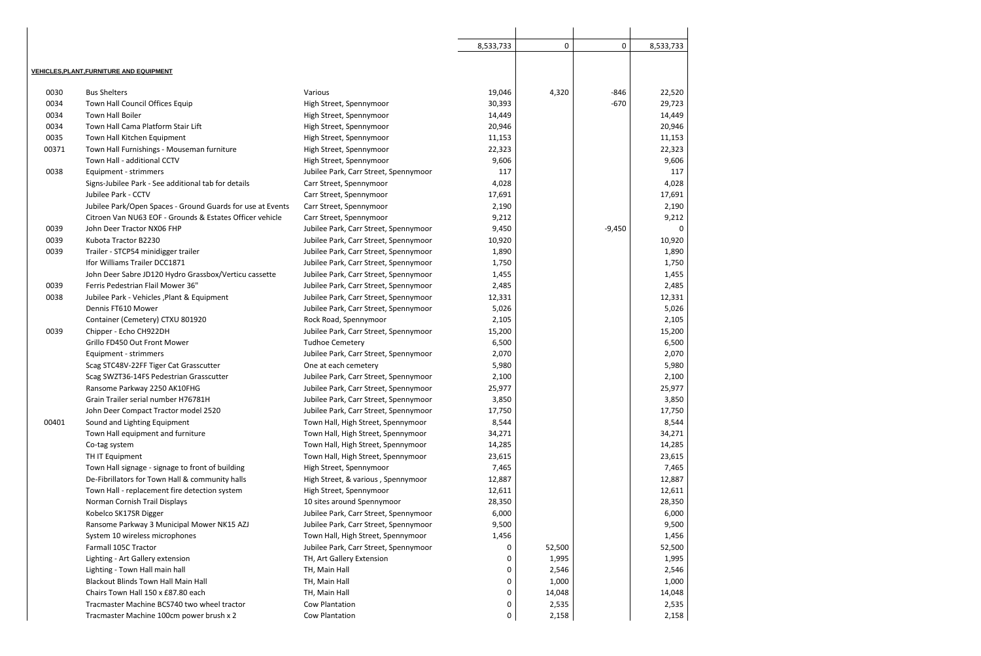|       |                                                            |                                       | 8,533,733 | $\pmb{0}$ | 0        | 8,533,733 |
|-------|------------------------------------------------------------|---------------------------------------|-----------|-----------|----------|-----------|
|       |                                                            |                                       |           |           |          |           |
|       | <b>VEHICLES, PLANT, FURNITURE AND EQUIPMENT</b>            |                                       |           |           |          |           |
| 0030  | <b>Bus Shelters</b>                                        | Various                               | 19,046    | 4,320     | $-846$   | 22,520    |
| 0034  | Town Hall Council Offices Equip                            | High Street, Spennymoor               | 30,393    |           | $-670$   | 29,723    |
| 0034  | <b>Town Hall Boiler</b>                                    | High Street, Spennymoor               | 14,449    |           |          | 14,449    |
| 0034  | Town Hall Cama Platform Stair Lift                         | High Street, Spennymoor               | 20,946    |           |          | 20,946    |
| 0035  | Town Hall Kitchen Equipment                                | High Street, Spennymoor               | 11,153    |           |          | 11,153    |
| 00371 | Town Hall Furnishings - Mouseman furniture                 | High Street, Spennymoor               | 22,323    |           |          | 22,323    |
|       | Town Hall - additional CCTV                                | High Street, Spennymoor               | 9,606     |           |          | 9,606     |
| 0038  | Equipment - strimmers                                      | Jubilee Park, Carr Street, Spennymoor | 117       |           |          | 117       |
|       | Signs-Jubilee Park - See additional tab for details        | Carr Street, Spennymoor               | 4,028     |           |          | 4,028     |
|       | Jubilee Park - CCTV                                        | Carr Street, Spennymoor               | 17,691    |           |          | 17,691    |
|       | Jubilee Park/Open Spaces - Ground Guards for use at Events | Carr Street, Spennymoor               | 2,190     |           |          | 2,190     |
|       | Citroen Van NU63 EOF - Grounds & Estates Officer vehicle   | Carr Street, Spennymoor               | 9,212     |           |          | 9,212     |
| 0039  | John Deer Tractor NX06 FHP                                 | Jubilee Park, Carr Street, Spennymoor | 9,450     |           | $-9,450$ |           |
| 0039  | Kubota Tractor B2230                                       | Jubilee Park, Carr Street, Spennymoor | 10,920    |           |          | 10,920    |
| 0039  | Trailer - STCP54 minidigger trailer                        | Jubilee Park, Carr Street, Spennymoor | 1,890     |           |          | 1,890     |
|       | Ifor Williams Trailer DCC1871                              | Jubilee Park, Carr Street, Spennymoor | 1,750     |           |          | 1,750     |
|       | John Deer Sabre JD120 Hydro Grassbox/Verticu cassette      | Jubilee Park, Carr Street, Spennymoor | 1,455     |           |          | 1,455     |
| 0039  | Ferris Pedestrian Flail Mower 36"                          | Jubilee Park, Carr Street, Spennymoor | 2,485     |           |          | 2,485     |
| 0038  | Jubilee Park - Vehicles, Plant & Equipment                 | Jubilee Park, Carr Street, Spennymoor | 12,331    |           |          | 12,331    |
|       | Dennis FT610 Mower                                         | Jubilee Park, Carr Street, Spennymoor | 5,026     |           |          | 5,026     |
|       | Container (Cemetery) CTXU 801920                           | Rock Road, Spennymoor                 | 2,105     |           |          | 2,105     |
| 0039  | Chipper - Echo CH922DH                                     | Jubilee Park, Carr Street, Spennymoor | 15,200    |           |          | 15,200    |
|       | Grillo FD450 Out Front Mower                               | <b>Tudhoe Cemetery</b>                | 6,500     |           |          | 6,500     |
|       | Equipment - strimmers                                      | Jubilee Park, Carr Street, Spennymoor | 2,070     |           |          | 2,070     |
|       | Scag STC48V-22FF Tiger Cat Grasscutter                     | One at each cemetery                  | 5,980     |           |          | 5,980     |
|       | Scag SWZT36-14FS Pedestrian Grasscutter                    | Jubilee Park, Carr Street, Spennymoor | 2,100     |           |          | 2,100     |
|       | Ransome Parkway 2250 AK10FHG                               | Jubilee Park, Carr Street, Spennymoor | 25,977    |           |          | 25,977    |
|       | Grain Trailer serial number H76781H                        | Jubilee Park, Carr Street, Spennymoor | 3,850     |           |          | 3,850     |
|       | John Deer Compact Tractor model 2520                       | Jubilee Park, Carr Street, Spennymoor | 17,750    |           |          | 17,750    |
| 00401 | Sound and Lighting Equipment                               | Town Hall, High Street, Spennymoor    | 8,544     |           |          | 8,544     |
|       | Town Hall equipment and furniture                          | Town Hall, High Street, Spennymoor    | 34,271    |           |          | 34,271    |
|       | Co-tag system                                              | Town Hall, High Street, Spennymoor    | 14,285    |           |          | 14,285    |
|       | TH IT Equipment                                            | Town Hall, High Street, Spennymoor    | 23,615    |           |          | 23,615    |
|       | Town Hall signage - signage to front of building           | High Street, Spennymoor               | 7,465     |           |          | 7,465     |
|       | De-Fibrillators for Town Hall & community halls            | High Street, & various, Spennymoor    | 12,887    |           |          | 12,887    |
|       | Town Hall - replacement fire detection system              | High Street, Spennymoor               | 12,611    |           |          | 12,611    |
|       | Norman Cornish Trail Displays                              | 10 sites around Spennymoor            | 28,350    |           |          | 28,350    |
|       | Kobelco SK17SR Digger                                      | Jubilee Park, Carr Street, Spennymoor | 6,000     |           |          | 6,000     |
|       | Ransome Parkway 3 Municipal Mower NK15 AZJ                 | Jubilee Park, Carr Street, Spennymoor | 9,500     |           |          | 9,500     |
|       | System 10 wireless microphones                             | Town Hall, High Street, Spennymoor    | 1,456     |           |          | 1,456     |
|       | Farmall 105C Tractor                                       | Jubilee Park, Carr Street, Spennymoor | 0         | 52,500    |          | 52,500    |
|       | Lighting - Art Gallery extension                           | TH, Art Gallery Extension             | 0         | 1,995     |          | 1,995     |
|       | Lighting - Town Hall main hall                             | TH, Main Hall                         | 0         | 2,546     |          | 2,546     |
|       | <b>Blackout Blinds Town Hall Main Hall</b>                 | TH, Main Hall                         | 0         | 1,000     |          | 1,000     |
|       | Chairs Town Hall 150 x £87.80 each                         | TH, Main Hall                         | 0         | 14,048    |          | 14,048    |
|       | Tracmaster Machine BCS740 two wheel tractor                | <b>Cow Plantation</b>                 | 0         | 2,535     |          | 2,535     |
|       | Tracmaster Machine 100cm power brush x 2                   | Cow Plantation                        | 0         | 2,158     |          | 2,158     |
|       |                                                            |                                       |           |           |          |           |